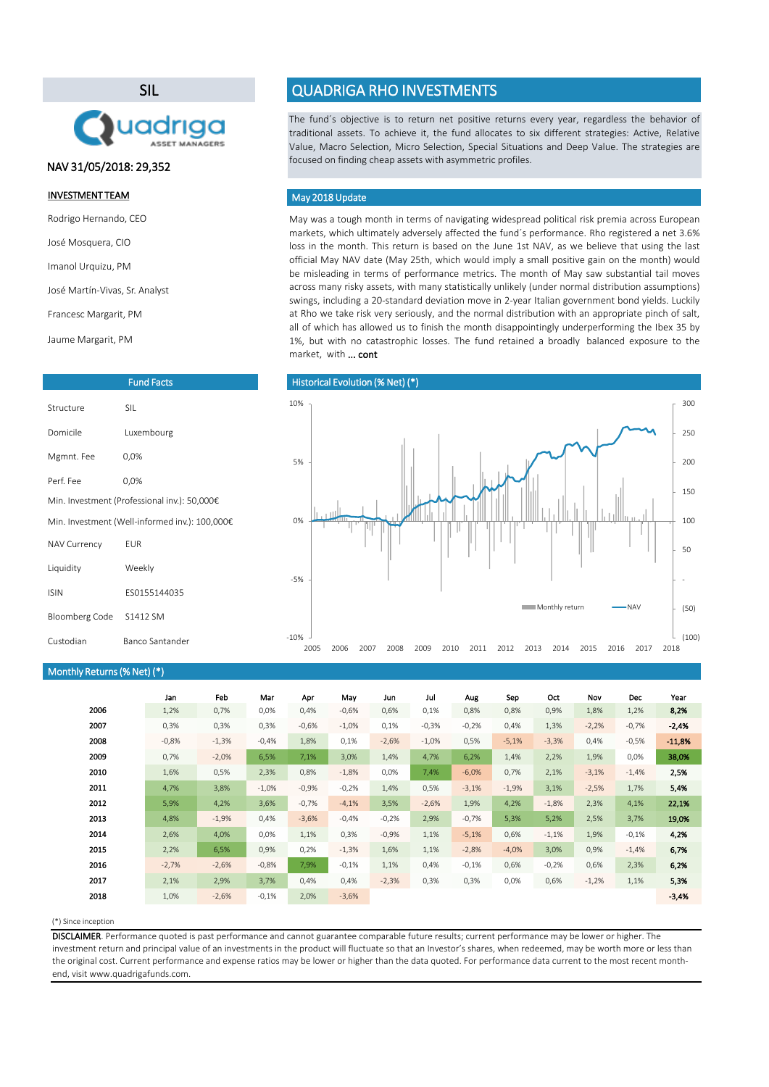### (\*) Since inception

|      | Jan     | Feb     | Mar      | Apr     | May     | Jun     | Jul      | Aug     | Sep     | Oct     | Nov     | Dec     | Year     |
|------|---------|---------|----------|---------|---------|---------|----------|---------|---------|---------|---------|---------|----------|
| 2006 | 1,2%    | 0,7%    | 0,0%     | 0,4%    | $-0,6%$ | 0,6%    | 0,1%     | 0,8%    | 0,8%    | 0,9%    | 1,8%    | 1,2%    | 8,2%     |
| 2007 | 0,3%    | 0,3%    | 0,3%     | $-0,6%$ | $-1,0%$ | 0,1%    | $-0,3%$  | $-0,2%$ | 0,4%    | 1,3%    | $-2,2%$ | $-0,7%$ | $-2,4%$  |
| 2008 | $-0,8%$ | $-1,3%$ | $-0,4%$  | 1,8%    | 0,1%    | $-2,6%$ | $-1,0\%$ | 0,5%    | $-5,1%$ | $-3,3%$ | 0,4%    | $-0,5%$ | $-11,8%$ |
| 2009 | 0,7%    | $-2,0%$ | 6,5%     | 7,1%    | 3,0%    | 1,4%    | 4,7%     | 6,2%    | 1,4%    | 2,2%    | 1,9%    | 0,0%    | 38,0%    |
| 2010 | 1,6%    | 0,5%    | 2,3%     | 0,8%    | $-1,8%$ | 0,0%    | 7,4%     | $-6,0%$ | 0,7%    | 2,1%    | $-3,1%$ | $-1,4%$ | 2,5%     |
| 2011 | 4,7%    | 3,8%    | $-1,0\%$ | $-0,9%$ | $-0,2%$ | 1,4%    | 0,5%     | $-3,1%$ | $-1,9%$ | 3,1%    | $-2,5%$ | 1,7%    | 5,4%     |
| 2012 | 5,9%    | 4,2%    | 3,6%     | $-0,7%$ | $-4,1%$ | 3,5%    | $-2,6%$  | 1,9%    | 4,2%    | $-1,8%$ | 2,3%    | 4,1%    | 22,1%    |
| 2013 | 4,8%    | $-1,9%$ | 0,4%     | $-3,6%$ | $-0,4%$ | $-0,2%$ | 2,9%     | $-0,7%$ | 5,3%    | 5,2%    | 2,5%    | 3,7%    | 19,0%    |
| 2014 | 2,6%    | 4,0%    | 0,0%     | 1,1%    | 0,3%    | $-0,9%$ | 1,1%     | $-5,1%$ | 0,6%    | $-1,1%$ | 1,9%    | $-0,1%$ | 4,2%     |
| 2015 | 2,2%    | 6,5%    | 0,9%     | 0,2%    | $-1,3%$ | 1,6%    | 1,1%     | $-2,8%$ | $-4,0%$ | 3,0%    | 0,9%    | $-1,4%$ | 6,7%     |
| 2016 | $-2,7%$ | $-2,6%$ | $-0,8%$  | 7,9%    | $-0,1%$ | 1,1%    | 0,4%     | $-0,1%$ | 0,6%    | $-0,2%$ | 0,6%    | 2,3%    | 6,2%     |
| 2017 | 2,1%    | 2,9%    | 3,7%     | 0,4%    | 0,4%    | $-2,3%$ | 0,3%     | 0,3%    | $0,0\%$ | 0,6%    | $-1,2%$ | 1,1%    | 5,3%     |
| 2018 | 1,0%    | $-2,6%$ | $-0,1%$  | 2,0%    | $-3,6%$ |         |          |         |         |         |         |         | $-3,4%$  |

May was a tough month in terms of navigating widespread political risk premia across European markets, which ultimately adversely affected the fund´s performance. Rho registered a net 3.6% loss in the month. This return is based on the June 1st NAV, as we believe that using the last official May NAV date (May 25th, which would imply a small positive gain on the month) would be misleading in terms of performance metrics. The month of May saw substantial tail moves across many risky assets, with many statistically unlikely (under normal distribution assumptions) swings, including a 20-standard deviation move in 2-year Italian government bond yields. Luckily at Rho we take risk very seriously, and the normal distribution with an appropriate pinch of salt, all of which has allowed us to finish the month disappointingly underperforming the Ibex 35 by 1%, but with no catastrophic losses. The fund retained a broadly balanced exposure to the market, with ... cont

The fund´s objective is to return net positive returns every year, regardless the behavior of traditional assets. To achieve it, the fund allocates to six different strategies: Active, Relative Value, Macro Selection, Micro Selection, Special Situations and Deep Value. The strategies are focused on finding cheap assets with asymmetric profiles.

DISCLAIMER. Performance quoted is past performance and cannot guarantee comparable future results; current performance may be lower or higher. The investment return and principal value of an investments in the product will fluctuate so that an Investor's shares, when redeemed, may be worth more or less than the original cost. Current performance and expense ratios may be lower or higher than the data quoted. For performance data current to the most recent monthend, visit www.quadrigafunds.com.

### INVESTMENT TEAM

Rodrigo Hernando, CEO

José Mosquera, CIO

Imanol Urquizu, PM

José Martín-Vivas, Sr. Analyst

Francesc Margarit, PM

Jaume Margarit, PM

# SIL



## Fund Facts

# QUADRIGA RHO INVESTMENTS

| Structure                                      | <b>SIL</b>   |  |  |  |  |
|------------------------------------------------|--------------|--|--|--|--|
| Domicile                                       | Luxembourg   |  |  |  |  |
| Mgmnt. Fee                                     | 0,0%         |  |  |  |  |
| Perf. Fee                                      | 0,0%         |  |  |  |  |
| Min. Investment (Professional inv.): 50,000€   |              |  |  |  |  |
| Min. Investment (Well-informed inv.): 100,000€ |              |  |  |  |  |
| <b>NAV Currency</b>                            | <b>EUR</b>   |  |  |  |  |
| Liquidity                                      | Weekly       |  |  |  |  |
| <b>ISIN</b>                                    | ES0155144035 |  |  |  |  |
| Bloomberg Code                                 | S1412 SM     |  |  |  |  |

| Monthly Returns (% Net) (*) |  |  |
|-----------------------------|--|--|
|-----------------------------|--|--|

### May 2018 Update

### Historical Evolution (% Net) (\*)

# NAV 31/05/2018: 29,352

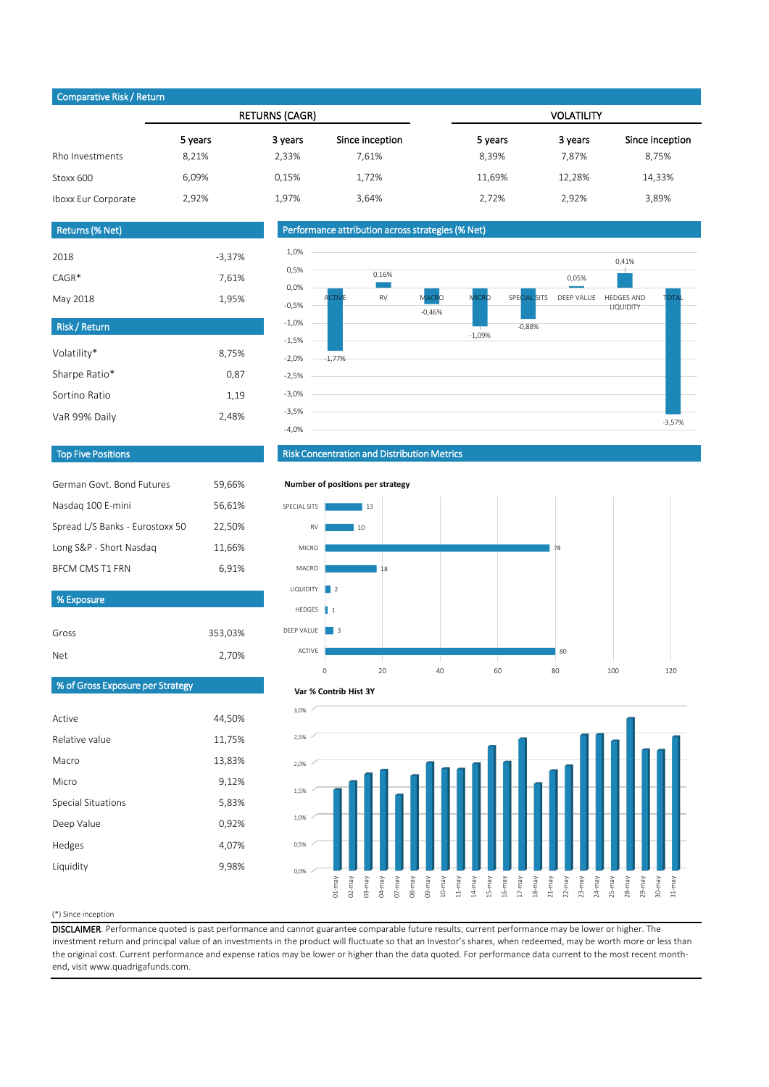### (\*) Since inception

|                     |         | <b>RETURNS (CAGR)</b> |                 | <b>VOLATILITY</b> |         |                 |  |
|---------------------|---------|-----------------------|-----------------|-------------------|---------|-----------------|--|
|                     | 5 years | 3 years               | Since inception | 5 years           | 3 years | Since inception |  |
| Rho Investments     | 8,21%   | 2,33%                 | 7,61%           | 8,39%             | 7,87%   | 8,75%           |  |
| Stoxx 600           | 6,09%   | 0,15%                 | 1,72%           | 11,69%            | 12,28%  | 14,33%          |  |
| Iboxx Eur Corporate | 2,92%   | 1,97%                 | 3,64%           | 2,72%             | 2,92%   | 3,89%           |  |

| German Govt, Bond Futures       | 59,66% |
|---------------------------------|--------|
| Nasdag 100 E-mini               | 56,61% |
| Spread L/S Banks - Eurostoxx 50 | 22,50% |
| Long S&P - Short Nasdag         | 11,66% |
| <b>BFCM CMS T1 FRN</b>          | 6,91%  |

| Returns (% Net) |          |  |  |  |  |
|-----------------|----------|--|--|--|--|
| 2018            | $-3,37%$ |  |  |  |  |
| $CAGR*$         | 7,61%    |  |  |  |  |
| May 2018        | 1,95%    |  |  |  |  |

| <b>Risk/Return</b> |       |
|--------------------|-------|
| Volatility*        | 8,75% |
| Sharpe Ratio*      | 0,87  |
| Sortino Ratio      | 1,19  |
| VaR 99% Daily      | 2,48% |

| Active                    | 44,50% |
|---------------------------|--------|
| Relative value            | 11,75% |
| Macro                     | 13,83% |
| Micro                     | 9,12%  |
| <b>Special Situations</b> | 5,83%  |
| Deep Value                | 0,92%  |
| Hedges                    | 4,07%  |
| Liquidity                 | 9,98%  |

DISCLAIMER. Performance quoted is past performance and cannot guarantee comparable future results; current performance may be lower or higher. The investment return and principal value of an investments in the product will fluctuate so that an Investor's shares, when redeemed, may be worth more or less than the original cost. Current performance and expense ratios may be lower or higher than the data quoted. For performance data current to the most recent monthend, visit www.quadrigafunds.com.

| Gross | 353,03% |
|-------|---------|
| Net.  | 2,70%   |

# Top Five Positions



## Risk Concentration and Distribution Metrics

# Performance attribution across strategies (% Net)

## Comparative Risk / Return

% Exposure







**Number of positions per strategy**



#### **Var % Contrib Hist 3Y**